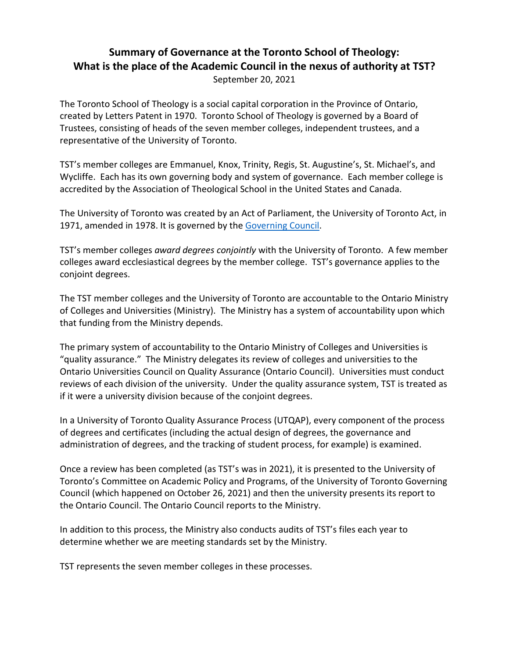## **Summary of Governance at the Toronto School of Theology: What is the place of the Academic Council in the nexus of authority at TST?** September 20, 2021

The Toronto School of Theology is a social capital corporation in the Province of Ontario, created by Letters Patent in 1970. Toronto School of Theology is governed by a Board of Trustees, consisting of heads of the seven member colleges, independent trustees, and a representative of the University of Toronto.

TST's member colleges are Emmanuel, Knox, Trinity, Regis, St. Augustine's, St. Michael's, and Wycliffe. Each has its own governing body and system of governance. Each member college is accredited by the Association of Theological School in the United States and Canada.

The University of Toronto was created by an Act of Parliament, the University of Toronto Act, in 1971, amended in 1978. It is governed by the [Governing Council.](https://governingcouncil.utoronto.ca/system/files/import-files/ppdec1519784709.pdf)

TST's member colleges *award degrees conjointly* with the University of Toronto. A few member colleges award ecclesiastical degrees by the member college. TST's governance applies to the conjoint degrees.

The TST member colleges and the University of Toronto are accountable to the Ontario Ministry of Colleges and Universities (Ministry). The Ministry has a system of accountability upon which that funding from the Ministry depends.

The primary system of accountability to the Ontario Ministry of Colleges and Universities is "quality assurance." The Ministry delegates its review of colleges and universities to the Ontario Universities Council on Quality Assurance (Ontario Council). Universities must conduct reviews of each division of the university. Under the quality assurance system, TST is treated as if it were a university division because of the conjoint degrees.

In a University of Toronto Quality Assurance Process (UTQAP), every component of the process of degrees and certificates (including the actual design of degrees, the governance and administration of degrees, and the tracking of student process, for example) is examined.

Once a review has been completed (as TST's was in 2021), it is presented to the University of Toronto's Committee on Academic Policy and Programs, of the University of Toronto Governing Council (which happened on October 26, 2021) and then the university presents its report to the Ontario Council. The Ontario Council reports to the Ministry.

In addition to this process, the Ministry also conducts audits of TST's files each year to determine whether we are meeting standards set by the Ministry.

TST represents the seven member colleges in these processes.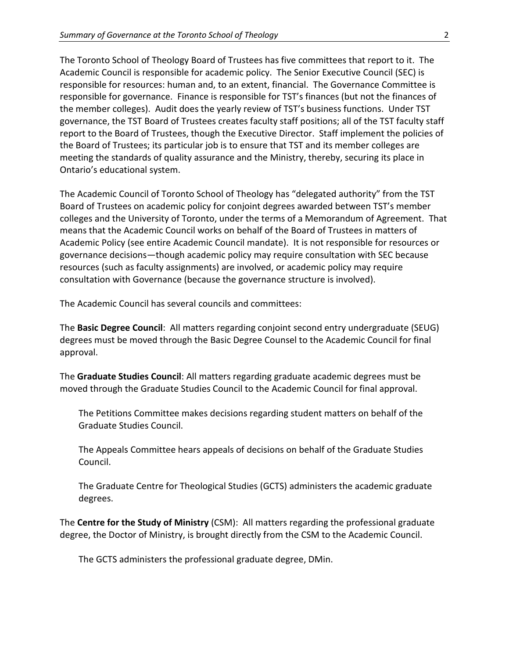The Toronto School of Theology Board of Trustees has five committees that report to it. The Academic Council is responsible for academic policy. The Senior Executive Council (SEC) is responsible for resources: human and, to an extent, financial. The Governance Committee is responsible for governance. Finance is responsible for TST's finances (but not the finances of the member colleges). Audit does the yearly review of TST's business functions. Under TST governance, the TST Board of Trustees creates faculty staff positions; all of the TST faculty staff report to the Board of Trustees, though the Executive Director. Staff implement the policies of the Board of Trustees; its particular job is to ensure that TST and its member colleges are meeting the standards of quality assurance and the Ministry, thereby, securing its place in Ontario's educational system.

The Academic Council of Toronto School of Theology has "delegated authority" from the TST Board of Trustees on academic policy for conjoint degrees awarded between TST's member colleges and the University of Toronto, under the terms of a Memorandum of Agreement. That means that the Academic Council works on behalf of the Board of Trustees in matters of Academic Policy (see entire Academic Council mandate). It is not responsible for resources or governance decisions—though academic policy may require consultation with SEC because resources (such as faculty assignments) are involved, or academic policy may require consultation with Governance (because the governance structure is involved).

The Academic Council has several councils and committees:

The **Basic Degree Council**: All matters regarding conjoint second entry undergraduate (SEUG) degrees must be moved through the Basic Degree Counsel to the Academic Council for final approval.

The **Graduate Studies Council**: All matters regarding graduate academic degrees must be moved through the Graduate Studies Council to the Academic Council for final approval.

The Petitions Committee makes decisions regarding student matters on behalf of the Graduate Studies Council.

The Appeals Committee hears appeals of decisions on behalf of the Graduate Studies Council.

The Graduate Centre for Theological Studies (GCTS) administers the academic graduate degrees.

The **Centre for the Study of Ministry** (CSM): All matters regarding the professional graduate degree, the Doctor of Ministry, is brought directly from the CSM to the Academic Council.

The GCTS administers the professional graduate degree, DMin.